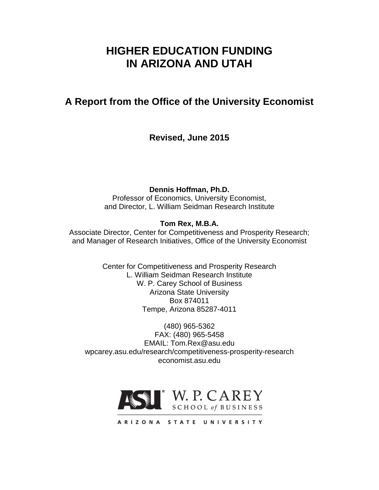# **HIGHER EDUCATION FUNDING IN ARIZONA AND UTAH**

## **A Report from the Office of the University Economist**

**Revised, June 2015**

**Dennis Hoffman, Ph.D.**

Professor of Economics, University Economist, and Director, L. William Seidman Research Institute

### **Tom Rex, M.B.A.**

Associate Director, Center for Competitiveness and Prosperity Research; and Manager of Research Initiatives, Office of the University Economist

> Center for Competitiveness and Prosperity Research L. William Seidman Research Institute W. P. Carey School of Business Arizona State University Box 874011 Tempe, Arizona 85287-4011

(480) 965-5362 FAX: (480) 965-5458 EMAIL: Tom.Rex@asu.edu wpcarey.asu.edu/research/competitiveness-prosperity-research economist.asu.edu



ARIZONA STATE UNIVERSITY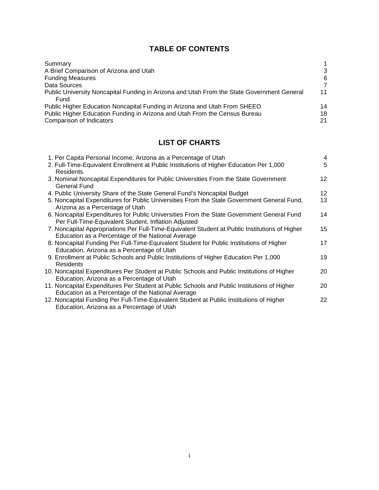## **TABLE OF CONTENTS**

| Summary                                                                                            |    |
|----------------------------------------------------------------------------------------------------|----|
| A Brief Comparison of Arizona and Utah                                                             | 3  |
| <b>Funding Measures</b>                                                                            | 6  |
| Data Sources                                                                                       | 7  |
| Public University Noncapital Funding in Arizona and Utah From the State Government General<br>Fund | 11 |
| Public Higher Education Noncapital Funding in Arizona and Utah From SHEEO                          | 14 |
| Public Higher Education Funding in Arizona and Utah From the Census Bureau                         | 18 |
| Comparison of Indicators                                                                           | 21 |

## **LIST OF CHARTS**

| 1. Per Capita Personal Income, Arizona as a Percentage of Utah                                                                                      | 4               |
|-----------------------------------------------------------------------------------------------------------------------------------------------------|-----------------|
| 2. Full-Time-Equivalent Enrollment at Public Institutions of Higher Education Per 1,000<br><b>Residents</b>                                         | 5               |
| 3. Nominal Noncapital Expenditures for Public Universities From the State Government<br>General Fund                                                | 12 <sup>2</sup> |
| 4. Public University Share of the State General Fund's Noncapital Budget                                                                            | 12 <sup>2</sup> |
| 5. Noncapital Expenditures for Public Universities From the State Government General Fund,<br>Arizona as a Percentage of Utah                       | 13              |
| 6. Noncapital Expenditures for Public Universities From the State Government General Fund<br>Per Full-Time-Equivalent Student, Inflation Adjusted   | 14              |
| 7. Noncapital Appropriations Per Full-Time-Equivalent Student at Public Institutions of Higher<br>Education as a Percentage of the National Average | 15              |
| 8. Noncapital Funding Per Full-Time-Equivalent Student for Public Institutions of Higher<br>Education, Arizona as a Percentage of Utah              | 17              |
| 9. Enrollment at Public Schools and Public Institutions of Higher Education Per 1,000<br><b>Residents</b>                                           | 19              |
| 10. Noncapital Expenditures Per Student at Public Schools and Public Institutions of Higher<br>Education, Arizona as a Percentage of Utah           | 20              |
| 11. Noncapital Expenditures Per Student at Public Schools and Public Institutions of Higher<br>Education as a Percentage of the National Average    | 20              |
| 12. Noncapital Funding Per Full-Time-Equivalent Student at Public Institutions of Higher<br>Education, Arizona as a Percentage of Utah              | 22              |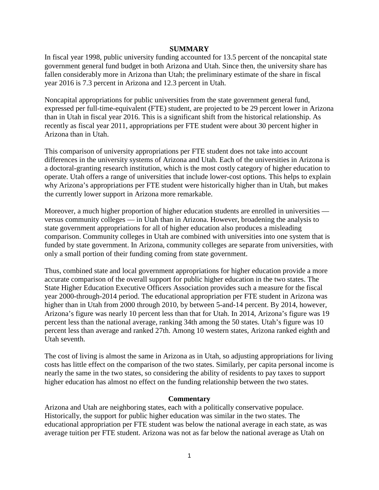#### **SUMMARY**

In fiscal year 1998, public university funding accounted for 13.5 percent of the noncapital state government general fund budget in both Arizona and Utah. Since then, the university share has fallen considerably more in Arizona than Utah; the preliminary estimate of the share in fiscal year 2016 is 7.3 percent in Arizona and 12.3 percent in Utah.

Noncapital appropriations for public universities from the state government general fund, expressed per full-time-equivalent (FTE) student, are projected to be 29 percent lower in Arizona than in Utah in fiscal year 2016. This is a significant shift from the historical relationship. As recently as fiscal year 2011, appropriations per FTE student were about 30 percent higher in Arizona than in Utah.

This comparison of university appropriations per FTE student does not take into account differences in the university systems of Arizona and Utah. Each of the universities in Arizona is a doctoral-granting research institution, which is the most costly category of higher education to operate. Utah offers a range of universities that include lower-cost options. This helps to explain why Arizona's appropriations per FTE student were historically higher than in Utah, but makes the currently lower support in Arizona more remarkable.

Moreover, a much higher proportion of higher education students are enrolled in universities versus community colleges — in Utah than in Arizona. However, broadening the analysis to state government appropriations for all of higher education also produces a misleading comparison. Community colleges in Utah are combined with universities into one system that is funded by state government. In Arizona, community colleges are separate from universities, with only a small portion of their funding coming from state government.

Thus, combined state and local government appropriations for higher education provide a more accurate comparison of the overall support for public higher education in the two states. The State Higher Education Executive Officers Association provides such a measure for the fiscal year 2000-through-2014 period. The educational appropriation per FTE student in Arizona was higher than in Utah from 2000 through 2010, by between 5-and-14 percent. By 2014, however, Arizona's figure was nearly 10 percent less than that for Utah. In 2014, Arizona's figure was 19 percent less than the national average, ranking 34th among the 50 states. Utah's figure was 10 percent less than average and ranked 27th. Among 10 western states, Arizona ranked eighth and Utah seventh.

The cost of living is almost the same in Arizona as in Utah, so adjusting appropriations for living costs has little effect on the comparison of the two states. Similarly, per capita personal income is nearly the same in the two states, so considering the ability of residents to pay taxes to support higher education has almost no effect on the funding relationship between the two states.

#### **Commentary**

Arizona and Utah are neighboring states, each with a politically conservative populace. Historically, the support for public higher education was similar in the two states. The educational appropriation per FTE student was below the national average in each state, as was average tuition per FTE student. Arizona was not as far below the national average as Utah on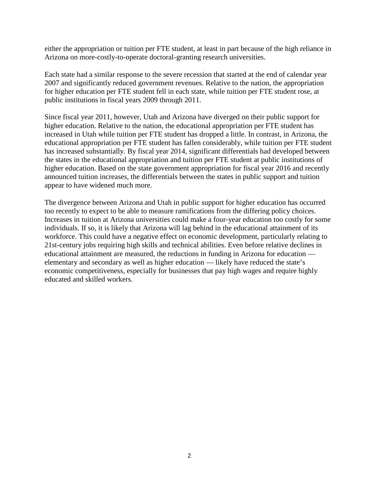either the appropriation or tuition per FTE student, at least in part because of the high reliance in Arizona on more-costly-to-operate doctoral-granting research universities.

Each state had a similar response to the severe recession that started at the end of calendar year 2007 and significantly reduced government revenues. Relative to the nation, the appropriation for higher education per FTE student fell in each state, while tuition per FTE student rose, at public institutions in fiscal years 2009 through 2011.

Since fiscal year 2011, however, Utah and Arizona have diverged on their public support for higher education. Relative to the nation, the educational appropriation per FTE student has increased in Utah while tuition per FTE student has dropped a little. In contrast, in Arizona, the educational appropriation per FTE student has fallen considerably, while tuition per FTE student has increased substantially. By fiscal year 2014, significant differentials had developed between the states in the educational appropriation and tuition per FTE student at public institutions of higher education. Based on the state government appropriation for fiscal year 2016 and recently announced tuition increases, the differentials between the states in public support and tuition appear to have widened much more.

The divergence between Arizona and Utah in public support for higher education has occurred too recently to expect to be able to measure ramifications from the differing policy choices. Increases in tuition at Arizona universities could make a four-year education too costly for some individuals. If so, it is likely that Arizona will lag behind in the educational attainment of its workforce. This could have a negative effect on economic development, particularly relating to 21st-century jobs requiring high skills and technical abilities. Even before relative declines in educational attainment are measured, the reductions in funding in Arizona for education elementary and secondary as well as higher education — likely have reduced the state's economic competitiveness, especially for businesses that pay high wages and require highly educated and skilled workers.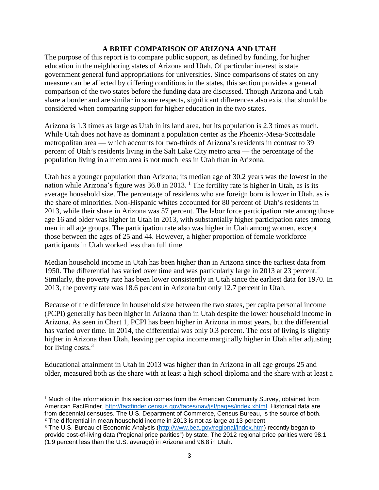#### **A BRIEF COMPARISON OF ARIZONA AND UTAH**

The purpose of this report is to compare public support, as defined by funding, for higher education in the neighboring states of Arizona and Utah. Of particular interest is state government general fund appropriations for universities. Since comparisons of states on any measure can be affected by differing conditions in the states, this section provides a general comparison of the two states before the funding data are discussed. Though Arizona and Utah share a border and are similar in some respects, significant differences also exist that should be considered when comparing support for higher education in the two states.

Arizona is 1.3 times as large as Utah in its land area, but its population is 2.3 times as much. While Utah does not have as dominant a population center as the Phoenix-Mesa-Scottsdale metropolitan area — which accounts for two-thirds of Arizona's residents in contrast to 39 percent of Utah's residents living in the Salt Lake City metro area — the percentage of the population living in a metro area is not much less in Utah than in Arizona.

Utah has a younger population than Arizona; its median age of 30.2 years was the lowest in the nation while Arizona's figure was  $36.8$  in  $2013$  $2013$  $2013$ . <sup>1</sup> The fertility rate is higher in Utah, as is its average household size. The percentage of residents who are foreign born is lower in Utah, as is the share of minorities. Non-Hispanic whites accounted for 80 percent of Utah's residents in 2013, while their share in Arizona was 57 percent. The labor force participation rate among those age 16 and older was higher in Utah in 2013, with substantially higher participation rates among men in all age groups. The participation rate also was higher in Utah among women, except those between the ages of 25 and 44. However, a higher proportion of female workforce participants in Utah worked less than full time.

Median household income in Utah has been higher than in Arizona since the earliest data from 1950. The differential has varied over time and was particularly large in [2](#page-4-1)013 at 23 percent.<sup>2</sup> Similarly, the poverty rate has been lower consistently in Utah since the earliest data for 1970. In 2013, the poverty rate was 18.6 percent in Arizona but only 12.7 percent in Utah.

Because of the difference in household size between the two states, per capita personal income (PCPI) generally has been higher in Arizona than in Utah despite the lower household income in Arizona. As seen in Chart 1, PCPI has been higher in Arizona in most years, but the differential has varied over time. In 2014, the differential was only 0.3 percent. The cost of living is slightly higher in Arizona than Utah, leaving per capita income marginally higher in Utah after adjusting for living costs. $3$ 

Educational attainment in Utah in 2013 was higher than in Arizona in all age groups 25 and older, measured both as the share with at least a high school diploma and the share with at least a

<span id="page-4-0"></span>l <sup>1</sup> Much of the information in this section comes from the American Community Survey, obtained from American FactFinder, [http://factfinder.census.gov/faces/nav/jsf/pages/index.xhtml.](http://factfinder.census.gov/faces/nav/jsf/pages/index.xhtml) Historical data are from decennial censuses. The U.S. Department of Commerce, Census Bureau, is the source of both. <sup>2</sup> The differential in mean household income in 2013 is not as large at 13 percent.

<span id="page-4-2"></span><span id="page-4-1"></span><sup>3</sup> The U.S. Bureau of Economic Analysis [\(http://www.bea.gov/regional/index.htm\)](http://www.bea.gov/regional/index.htm) recently began to provide cost-of-living data ("regional price parities") by state. The 2012 regional price parities were 98.1 (1.9 percent less than the U.S. average) in Arizona and 96.8 in Utah.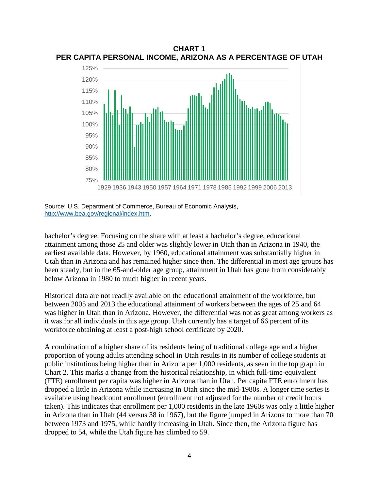

**CHART 1 PER CAPITA PERSONAL INCOME, ARIZONA AS A PERCENTAGE OF UTAH**

Source: U.S. Department of Commerce, Bureau of Economic Analysis, [http://www.bea.gov/regional/index.htm.](http://www.bea.gov/regional/index.htm)

bachelor's degree. Focusing on the share with at least a bachelor's degree, educational attainment among those 25 and older was slightly lower in Utah than in Arizona in 1940, the earliest available data. However, by 1960, educational attainment was substantially higher in Utah than in Arizona and has remained higher since then. The differential in most age groups has been steady, but in the 65-and-older age group, attainment in Utah has gone from considerably below Arizona in 1980 to much higher in recent years.

Historical data are not readily available on the educational attainment of the workforce, but between 2005 and 2013 the educational attainment of workers between the ages of 25 and 64 was higher in Utah than in Arizona. However, the differential was not as great among workers as it was for all individuals in this age group. Utah currently has a target of 66 percent of its workforce obtaining at least a post-high school certificate by 2020.

A combination of a higher share of its residents being of traditional college age and a higher proportion of young adults attending school in Utah results in its number of college students at public institutions being higher than in Arizona per 1,000 residents, as seen in the top graph in Chart 2. This marks a change from the historical relationship, in which full-time-equivalent (FTE) enrollment per capita was higher in Arizona than in Utah. Per capita FTE enrollment has dropped a little in Arizona while increasing in Utah since the mid-1980s. A longer time series is available using headcount enrollment (enrollment not adjusted for the number of credit hours taken). This indicates that enrollment per 1,000 residents in the late 1960s was only a little higher in Arizona than in Utah (44 versus 38 in 1967), but the figure jumped in Arizona to more than 70 between 1973 and 1975, while hardly increasing in Utah. Since then, the Arizona figure has dropped to 54, while the Utah figure has climbed to 59.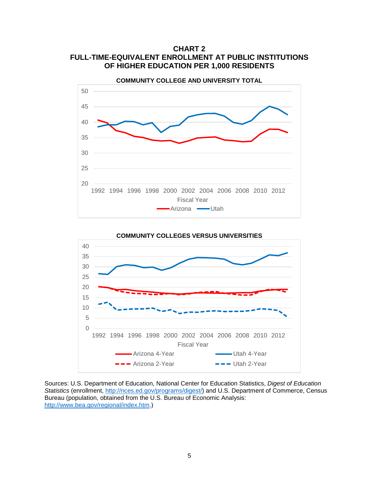**CHART 2 FULL-TIME-EQUIVALENT ENROLLMENT AT PUBLIC INSTITUTIONS OF HIGHER EDUCATION PER 1,000 RESIDENTS**





Sources: U.S. Department of Education, National Center for Education Statistics, *Digest of Education*  Statistics (enrollment, [http://nces.ed.gov/programs/digest/\)](http://nces.ed.gov/programs/digest/) and U.S. Department of Commerce, Census Bureau (population, obtained from the U.S. Bureau of Economic Analysis: [http://www.bea.gov/regional/index.htm.](http://www.bea.gov/regional/index.htm))

5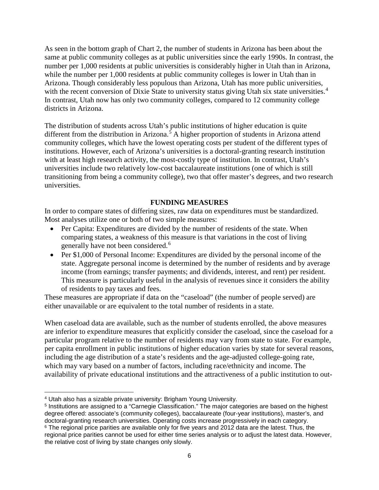As seen in the bottom graph of Chart 2, the number of students in Arizona has been about the same at public community colleges as at public universities since the early 1990s. In contrast, the number per 1,000 residents at public universities is considerably higher in Utah than in Arizona, while the number per 1,000 residents at public community colleges is lower in Utah than in Arizona. Though considerably less populous than Arizona, Utah has more public universities, with the recent conversion of Dixie State to university status giving Utah six state universities.<sup>[4](#page-7-0)</sup> In contrast, Utah now has only two community colleges, compared to 12 community college districts in Arizona.

The distribution of students across Utah's public institutions of higher education is quite different from the distribution in Arizona.<sup>[5](#page-7-1)</sup> A higher proportion of students in Arizona attend community colleges, which have the lowest operating costs per student of the different types of institutions. However, each of Arizona's universities is a doctoral-granting research institution with at least high research activity, the most-costly type of institution. In contrast, Utah's universities include two relatively low-cost baccalaureate institutions (one of which is still transitioning from being a community college), two that offer master's degrees, and two research universities.

#### **FUNDING MEASURES**

In order to compare states of differing sizes, raw data on expenditures must be standardized. Most analyses utilize one or both of two simple measures:

- Per Capita: Expenditures are divided by the number of residents of the state. When comparing states, a weakness of this measure is that variations in the cost of living generally have not been considered.<sup>[6](#page-7-2)</sup>
- Per \$1,000 of Personal Income: Expenditures are divided by the personal income of the state. Aggregate personal income is determined by the number of residents and by average income (from earnings; transfer payments; and dividends, interest, and rent) per resident. This measure is particularly useful in the analysis of revenues since it considers the ability of residents to pay taxes and fees.

These measures are appropriate if data on the "caseload" (the number of people served) are either unavailable or are equivalent to the total number of residents in a state.

When caseload data are available, such as the number of students enrolled, the above measures are inferior to expenditure measures that explicitly consider the caseload, since the caseload for a particular program relative to the number of residents may vary from state to state. For example, per capita enrollment in public institutions of higher education varies by state for several reasons, including the age distribution of a state's residents and the age-adjusted college-going rate, which may vary based on a number of factors, including race/ethnicity and income. The availability of private educational institutions and the attractiveness of a public institution to out-

l <sup>4</sup> Utah also has a sizable private university: Brigham Young University.

<span id="page-7-1"></span><span id="page-7-0"></span><sup>5</sup> Institutions are assigned to a "Carnegie Classification." The major categories are based on the highest degree offered: associate's (community colleges), baccalaureate (four-year institutions), master's, and doctoral-granting research universities. Operating costs increase progressively in each category.

<span id="page-7-2"></span><sup>&</sup>lt;sup>6</sup> The regional price parities are available only for five years and 2012 data are the latest. Thus, the regional price parities cannot be used for either time series analysis or to adjust the latest data. However, the relative cost of living by state changes only slowly.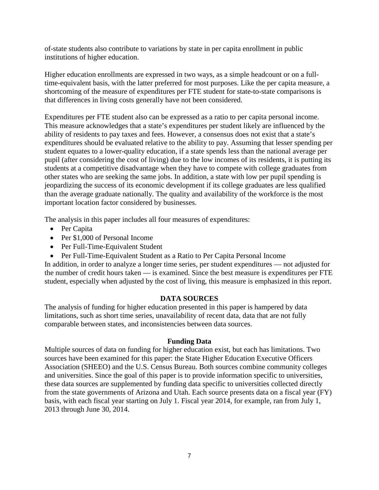of-state students also contribute to variations by state in per capita enrollment in public institutions of higher education.

Higher education enrollments are expressed in two ways, as a simple headcount or on a fulltime-equivalent basis, with the latter preferred for most purposes. Like the per capita measure, a shortcoming of the measure of expenditures per FTE student for state-to-state comparisons is that differences in living costs generally have not been considered.

Expenditures per FTE student also can be expressed as a ratio to per capita personal income. This measure acknowledges that a state's expenditures per student likely are influenced by the ability of residents to pay taxes and fees. However, a consensus does not exist that a state's expenditures should be evaluated relative to the ability to pay. Assuming that lesser spending per student equates to a lower-quality education, if a state spends less than the national average per pupil (after considering the cost of living) due to the low incomes of its residents, it is putting its students at a competitive disadvantage when they have to compete with college graduates from other states who are seeking the same jobs. In addition, a state with low per pupil spending is jeopardizing the success of its economic development if its college graduates are less qualified than the average graduate nationally. The quality and availability of the workforce is the most important location factor considered by businesses.

The analysis in this paper includes all four measures of expenditures:

- Per Capita
- Per \$1,000 of Personal Income
- Per Full-Time-Equivalent Student
- Per Full-Time-Equivalent Student as a Ratio to Per Capita Personal Income

In addition, in order to analyze a longer time series, per student expenditures — not adjusted for the number of credit hours taken — is examined. Since the best measure is expenditures per FTE student, especially when adjusted by the cost of living, this measure is emphasized in this report.

#### **DATA SOURCES**

The analysis of funding for higher education presented in this paper is hampered by data limitations, such as short time series, unavailability of recent data, data that are not fully comparable between states, and inconsistencies between data sources.

#### **Funding Data**

Multiple sources of data on funding for higher education exist, but each has limitations. Two sources have been examined for this paper: the State Higher Education Executive Officers Association (SHEEO) and the U.S. Census Bureau. Both sources combine community colleges and universities. Since the goal of this paper is to provide information specific to universities, these data sources are supplemented by funding data specific to universities collected directly from the state governments of Arizona and Utah. Each source presents data on a fiscal year (FY) basis, with each fiscal year starting on July 1. Fiscal year 2014, for example, ran from July 1, 2013 through June 30, 2014.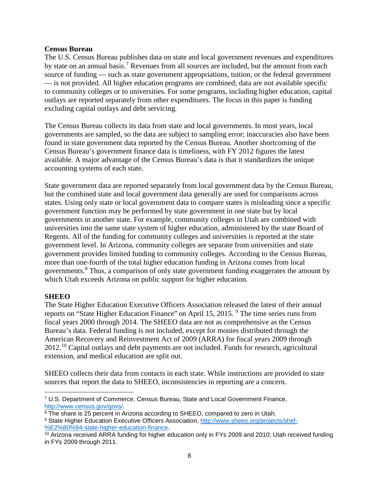#### **Census Bureau**

The U.S. Census Bureau publishes data on state and local government revenues and expenditures by state on an annual basis.<sup>[7](#page-9-0)</sup> Revenues from all sources are included, but the amount from each source of funding — such as state government appropriations, tuition, or the federal government — is not provided. All higher education programs are combined; data are not available specific to community colleges or to universities. For some programs, including higher education, capital outlays are reported separately from other expenditures. The focus in this paper is funding excluding capital outlays and debt servicing.

The Census Bureau collects its data from state and local governments. In most years, local governments are sampled, so the data are subject to sampling error; inaccuracies also have been found in state government data reported by the Census Bureau. Another shortcoming of the Census Bureau's government finance data is timeliness, with FY 2012 figures the latest available. A major advantage of the Census Bureau's data is that it standardizes the unique accounting systems of each state.

State government data are reported separately from local government data by the Census Bureau, but the combined state and local government data generally are used for comparisons across states. Using only state or local government data to compare states is misleading since a specific government function may be performed by state government in one state but by local governments in another state. For example, community colleges in Utah are combined with universities into the same state system of higher education, administered by the state Board of Regents. All of the funding for community colleges and universities is reported at the state government level. In Arizona, community colleges are separate from universities and state government provides limited funding to community colleges. According to the Census Bureau, more than one-fourth of the total higher education funding in Arizona comes from local governments.<sup>[8](#page-9-1)</sup> Thus, a comparison of only state government funding exaggerates the amount by which Utah exceeds Arizona on public support for higher education.

#### **SHEEO**

The State Higher Education Executive Officers Association released the latest of their annual reports on "State Higher Education Finance" on April 15, 2015. <sup>[9](#page-9-2)</sup> The time series runs from fiscal years 2000 through 2014. The SHEEO data are not as comprehensive as the Census Bureau's data. Federal funding is not included, except for monies distributed through the American Recovery and Reinvestment Act of 2009 (ARRA) for fiscal years 2009 through 2012.[10](#page-9-3) Capital outlays and debt payments are not included. Funds for research, agricultural extension, and medical education are split out.

SHEEO collects their data from contacts in each state. While instructions are provided to state sources that report the data to SHEEO, inconsistencies in reporting are a concern.

<span id="page-9-0"></span>l <sup>7</sup> U.S. Department of Commerce, Census Bureau, State and Local Government Finance, [http://www.census.gov/govs/.](http://www.census.gov/govs/)

<span id="page-9-1"></span><sup>&</sup>lt;sup>8</sup> The share is 25 percent in Arizona according to SHEEO, compared to zero in Utah.

<span id="page-9-2"></span><sup>9</sup> State Higher Education Executive Officers Association, [http://www.sheeo.org/projects/shef-](http://www.sheeo.org/projects/shef-%E2%80%94-state-higher-education-finance) [%E2%80%94-state-higher-education-finance.](http://www.sheeo.org/projects/shef-%E2%80%94-state-higher-education-finance)

<span id="page-9-3"></span> $^{10}$  Arizona received ARRA funding for higher education only in FYs 2009 and 2010; Utah received funding in FYs 2009 through 2011.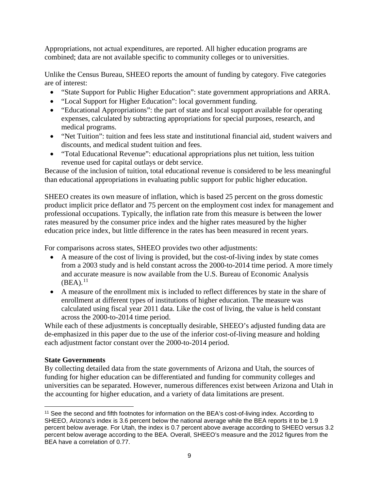Appropriations, not actual expenditures, are reported. All higher education programs are combined; data are not available specific to community colleges or to universities.

Unlike the Census Bureau, SHEEO reports the amount of funding by category. Five categories are of interest:

- "State Support for Public Higher Education": state government appropriations and ARRA.
- "Local Support for Higher Education": local government funding.
- "Educational Appropriations": the part of state and local support available for operating expenses, calculated by subtracting appropriations for special purposes, research, and medical programs.
- "Net Tuition": tuition and fees less state and institutional financial aid, student waivers and discounts, and medical student tuition and fees.
- "Total Educational Revenue": educational appropriations plus net tuition, less tuition revenue used for capital outlays or debt service.

Because of the inclusion of tuition, total educational revenue is considered to be less meaningful than educational appropriations in evaluating public support for public higher education.

SHEEO creates its own measure of inflation, which is based 25 percent on the gross domestic product implicit price deflator and 75 percent on the employment cost index for management and professional occupations. Typically, the inflation rate from this measure is between the lower rates measured by the consumer price index and the higher rates measured by the higher education price index, but little difference in the rates has been measured in recent years.

For comparisons across states, SHEEO provides two other adjustments:

- A measure of the cost of living is provided, but the cost-of-living index by state comes from a 2003 study and is held constant across the 2000-to-2014 time period. A more timely and accurate measure is now available from the U.S. Bureau of Economic Analysis  $(BEA).<sup>11</sup>$  $(BEA).<sup>11</sup>$  $(BEA).<sup>11</sup>$
- A measure of the enrollment mix is included to reflect differences by state in the share of enrollment at different types of institutions of higher education. The measure was calculated using fiscal year 2011 data. Like the cost of living, the value is held constant across the 2000-to-2014 time period.

While each of these adjustments is conceptually desirable, SHEEO's adjusted funding data are de-emphasized in this paper due to the use of the inferior cost-of-living measure and holding each adjustment factor constant over the 2000-to-2014 period.

#### **State Governments**

 $\overline{\phantom{a}}$ 

By collecting detailed data from the state governments of Arizona and Utah, the sources of funding for higher education can be differentiated and funding for community colleges and universities can be separated. However, numerous differences exist between Arizona and Utah in the accounting for higher education, and a variety of data limitations are present.

<span id="page-10-0"></span><sup>11</sup> See the second and fifth footnotes for information on the BEA's cost-of-living index. According to SHEEO, Arizona's index is 3.6 percent below the national average while the BEA reports it to be 1.9 percent below average. For Utah, the index is 0.7 percent above average according to SHEEO versus 3.2 percent below average according to the BEA. Overall, SHEEO's measure and the 2012 figures from the BEA have a correlation of 0.77.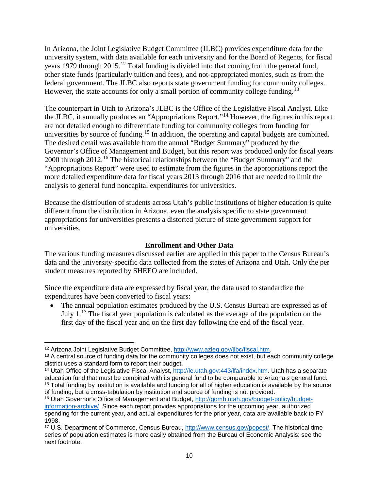In Arizona, the Joint Legislative Budget Committee (JLBC) provides expenditure data for the university system, with data available for each university and for the Board of Regents, for fiscal years 1979 through 2015.<sup>[12](#page-11-0)</sup> Total funding is divided into that coming from the general fund, other state funds (particularly tuition and fees), and not-appropriated monies, such as from the federal government. The JLBC also reports state government funding for community colleges. However, the state accounts for only a small portion of community college funding.<sup>[13](#page-11-1)</sup>

The counterpart in Utah to Arizona's JLBC is the Office of the Legislative Fiscal Analyst. Like the JLBC, it annually produces an "Appropriations Report."[14](#page-11-2) However, the figures in this report are not detailed enough to differentiate funding for community colleges from funding for universities by source of funding.<sup>[15](#page-11-3)</sup> In addition, the operating and capital budgets are combined. The desired detail was available from the annual "Budget Summary" produced by the Governor's Office of Management and Budget, but this report was produced only for fiscal years 2000 through 2012.<sup>[16](#page-11-4)</sup> The historical relationships between the "Budget Summary" and the "Appropriations Report" were used to estimate from the figures in the appropriations report the more detailed expenditure data for fiscal years 2013 through 2016 that are needed to limit the analysis to general fund noncapital expenditures for universities.

Because the distribution of students across Utah's public institutions of higher education is quite different from the distribution in Arizona, even the analysis specific to state government appropriations for universities presents a distorted picture of state government support for universities.

#### **Enrollment and Other Data**

The various funding measures discussed earlier are applied in this paper to the Census Bureau's data and the university-specific data collected from the states of Arizona and Utah. Only the per student measures reported by SHEEO are included.

Since the expenditure data are expressed by fiscal year, the data used to standardize the expenditures have been converted to fiscal years:

The annual population estimates produced by the U.S. Census Bureau are expressed as of July 1.[17](#page-11-5) The fiscal year population is calculated as the average of the population on the first day of the fiscal year and on the first day following the end of the fiscal year.

 $\overline{\phantom{a}}$ 

<span id="page-11-0"></span><sup>12</sup> Arizona Joint Legislative Budget Committee, [http://www.azleg.gov/jlbc/fiscal.htm.](http://www.azleg.gov/jlbc/fiscal.htm)

<span id="page-11-1"></span><sup>&</sup>lt;sup>13</sup> A central source of funding data for the community colleges does not exist, but each community college district uses a standard form to report their budget.

<span id="page-11-3"></span><span id="page-11-2"></span><sup>14</sup> Utah Office of the Legislative Fiscal Analyst, [http://le.utah.gov:443/lfa/index.htm.](http://le.utah.gov:443/lfa/index.htm) Utah has a separate education fund that must be combined with its general fund to be comparable to Arizona's general fund. <sup>15</sup> Total funding by institution is available and funding for all of higher education is available by the source of funding, but a cross-tabulation by institution and source of funding is not provided.

<span id="page-11-4"></span><sup>16</sup> Utah Governor's Office of Management and Budget, [http://gomb.utah.gov/budget-policy/budget](http://gomb.utah.gov/budget-policy/budget-information-archive/)[information-archive/.](http://gomb.utah.gov/budget-policy/budget-information-archive/) Since each report provides appropriations for the upcoming year, authorized spending for the current year, and actual expenditures for the prior year, data are available back to FY 1998.

<span id="page-11-5"></span><sup>17</sup> U.S. Department of Commerce, Census Bureau, [http://www.census.gov/popest/.](http://www.census.gov/popest/) The historical time series of population estimates is more easily obtained from the Bureau of Economic Analysis: see the next footnote.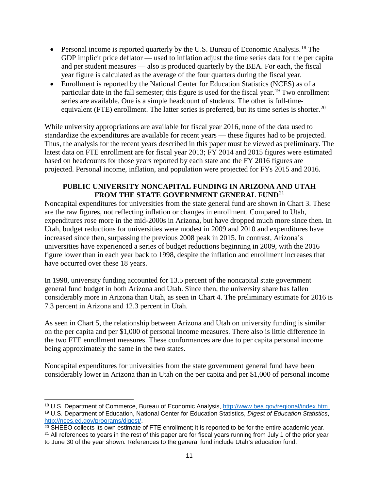- Personal income is reported quarterly by the U.S. Bureau of Economic Analysis.<sup>[18](#page-12-0)</sup> The GDP implicit price deflator — used to inflation adjust the time series data for the per capita and per student measures — also is produced quarterly by the BEA. For each, the fiscal year figure is calculated as the average of the four quarters during the fiscal year.
- Enrollment is reported by the National Center for Education Statistics (NCES) as of a particular date in the fall semester; this figure is used for the fiscal year.<sup>[19](#page-12-1)</sup> Two enrollment series are available. One is a simple headcount of students. The other is full-time-equivalent (FTE) enrollment. The latter series is preferred, but its time series is shorter.<sup>[20](#page-12-2)</sup>

While university appropriations are available for fiscal year 2016, none of the data used to standardize the expenditures are available for recent years — these figures had to be projected. Thus, the analysis for the recent years described in this paper must be viewed as preliminary. The latest data on FTE enrollment are for fiscal year 2013; FY 2014 and 2015 figures were estimated based on headcounts for those years reported by each state and the FY 2016 figures are projected. Personal income, inflation, and population were projected for FYs 2015 and 2016.

#### **PUBLIC UNIVERSITY NONCAPITAL FUNDING IN ARIZONA AND UTAH** FROM THE STATE GOVERNMENT GENERAL FUND<sup>[21](#page-12-3)</sup>

Noncapital expenditures for universities from the state general fund are shown in Chart 3. These are the raw figures, not reflecting inflation or changes in enrollment. Compared to Utah, expenditures rose more in the mid-2000s in Arizona, but have dropped much more since then. In Utah, budget reductions for universities were modest in 2009 and 2010 and expenditures have increased since then, surpassing the previous 2008 peak in 2015. In contrast, Arizona's universities have experienced a series of budget reductions beginning in 2009, with the 2016 figure lower than in each year back to 1998, despite the inflation and enrollment increases that have occurred over these 18 years.

In 1998, university funding accounted for 13.5 percent of the noncapital state government general fund budget in both Arizona and Utah. Since then, the university share has fallen considerably more in Arizona than Utah, as seen in Chart 4. The preliminary estimate for 2016 is 7.3 percent in Arizona and 12.3 percent in Utah.

As seen in Chart 5, the relationship between Arizona and Utah on university funding is similar on the per capita and per \$1,000 of personal income measures. There also is little difference in the two FTE enrollment measures. These conformances are due to per capita personal income being approximately the same in the two states.

Noncapital expenditures for universities from the state government general fund have been considerably lower in Arizona than in Utah on the per capita and per \$1,000 of personal income

<span id="page-12-1"></span><span id="page-12-0"></span> $\overline{\phantom{a}}$ <sup>18</sup> U.S. Department of Commerce, Bureau of Economic Analysis, [http://www.bea.gov/regional/index.htm.](http://www.bea.gov/regional/index.htm) <sup>19</sup> U.S. Department of Education, National Center for Education Statistics, *Digest of Education Statistics*, [http://nces.ed.gov/programs/digest/.](http://nces.ed.gov/programs/digest/)

<span id="page-12-2"></span> $20$  SHEEO collects its own estimate of FTE enrollment; it is reported to be for the entire academic year. <sup>21</sup> All references to years in the rest of this paper are for fiscal years running from July 1 of the prior year

<span id="page-12-3"></span>to June 30 of the year shown. References to the general fund include Utah's education fund.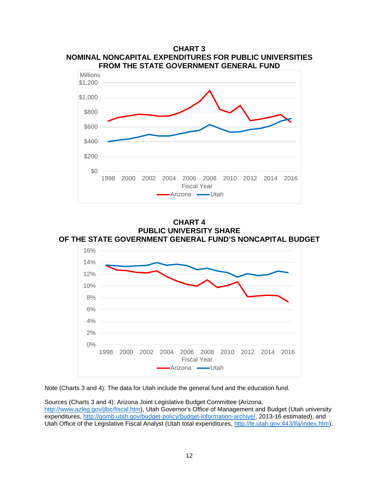





Note (Charts 3 and 4): The data for Utah include the general fund and the education fund.

Sources (Charts 3 and 4): Arizona Joint Legislative Budget Committee (Arizona, [http://www.azleg.gov/jlbc/fiscal.htm\)](http://www.azleg.gov/jlbc/fiscal.htm), Utah Governor's Office of Management and Budget (Utah university expenditures, [http://gomb.utah.gov/budget-policy/budget-information-archive/,](http://gomb.utah.gov/budget-policy/budget-information-archive/) 2013-16 estimated), and Utah Office of the Legislative Fiscal Analyst (Utah total expenditures, [http://le.utah.gov:443/lfa/index.htm\)](http://le.utah.gov:443/lfa/index.htm).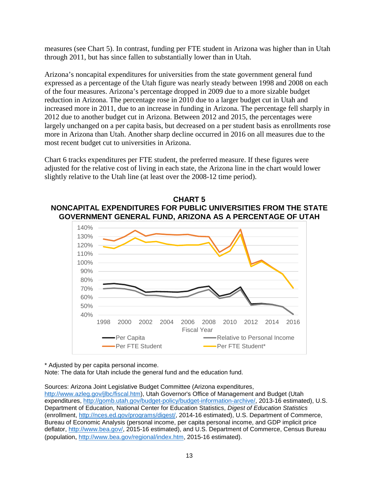measures (see Chart 5). In contrast, funding per FTE student in Arizona was higher than in Utah through 2011, but has since fallen to substantially lower than in Utah.

Arizona's noncapital expenditures for universities from the state government general fund expressed as a percentage of the Utah figure was nearly steady between 1998 and 2008 on each of the four measures. Arizona's percentage dropped in 2009 due to a more sizable budget reduction in Arizona. The percentage rose in 2010 due to a larger budget cut in Utah and increased more in 2011, due to an increase in funding in Arizona. The percentage fell sharply in 2012 due to another budget cut in Arizona. Between 2012 and 2015, the percentages were largely unchanged on a per capita basis, but decreased on a per student basis as enrollments rose more in Arizona than Utah. Another sharp decline occurred in 2016 on all measures due to the most recent budget cut to universities in Arizona.

Chart 6 tracks expenditures per FTE student, the preferred measure. If these figures were adjusted for the relative cost of living in each state, the Arizona line in the chart would lower slightly relative to the Utah line (at least over the 2008-12 time period).





\* Adjusted by per capita personal income.

Note: The data for Utah include the general fund and the education fund.

Sources: Arizona Joint Legislative Budget Committee (Arizona expenditures, [http://www.azleg.gov/jlbc/fiscal.htm\)](http://www.azleg.gov/jlbc/fiscal.htm), Utah Governor's Office of Management and Budget (Utah expenditures, [http://gomb.utah.gov/budget-policy/budget-information-archive/,](http://gomb.utah.gov/budget-policy/budget-information-archive/) 2013-16 estimated), U.S. Department of Education, National Center for Education Statistics, *Digest of Education Statistics* (enrollment, [http://nces.ed.gov/programs/digest/,](http://nces.ed.gov/programs/digest/) 2014-16 estimated), U.S. Department of Commerce, Bureau of Economic Analysis (personal income, per capita personal income, and GDP implicit price deflator, [http://www.bea.gov/,](http://www.bea.gov/) 2015-16 estimated), and U.S. Department of Commerce, Census Bureau (population, [http://www.bea.gov/regional/index.htm,](http://www.bea.gov/regional/index.htm) 2015-16 estimated).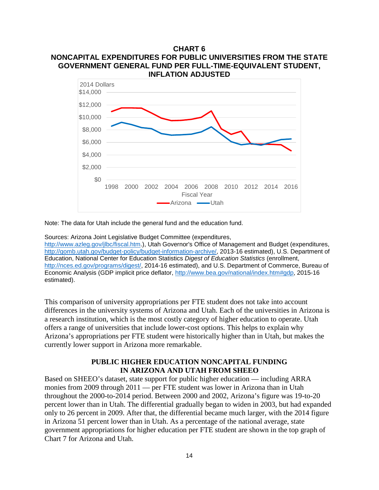

Note: The data for Utah include the general fund and the education fund.

Sources: Arizona Joint Legislative Budget Committee (expenditures, [http://www.azleg.gov/jlbc/fiscal.htm.](http://www.azleg.gov/jlbc/fiscal.htm)), Utah Governor's Office of Management and Budget (expenditures, [http://gomb.utah.gov/budget-policy/budget-information-archive/,](http://gomb.utah.gov/budget-policy/budget-information-archive/) 2013-16 estimated), U.S. Department of Education, National Center for Education Statistics *Digest of Education Statistics* (enrollment, [http://nces.ed.gov/programs/digest/,](http://nces.ed.gov/programs/digest/) 2014-16 estimated), and U.S. Department of Commerce, Bureau of Economic Analysis (GDP implicit price deflator, [http://www.bea.gov/national/index.htm#gdp,](http://www.bea.gov/national/index.htm%23gdp) 2015-16 estimated).

This comparison of university appropriations per FTE student does not take into account differences in the university systems of Arizona and Utah. Each of the universities in Arizona is a research institution, which is the most costly category of higher education to operate. Utah offers a range of universities that include lower-cost options. This helps to explain why Arizona's appropriations per FTE student were historically higher than in Utah, but makes the currently lower support in Arizona more remarkable.

#### **PUBLIC HIGHER EDUCATION NONCAPITAL FUNDING IN ARIZONA AND UTAH FROM SHEEO**

Based on SHEEO's dataset, state support for public higher education — including ARRA monies from 2009 through 2011 — per FTE student was lower in Arizona than in Utah throughout the 2000-to-2014 period. Between 2000 and 2002, Arizona's figure was 19-to-20 percent lower than in Utah. The differential gradually began to widen in 2003, but had expanded only to 26 percent in 2009. After that, the differential became much larger, with the 2014 figure in Arizona 51 percent lower than in Utah. As a percentage of the national average, state government appropriations for higher education per FTE student are shown in the top graph of Chart 7 for Arizona and Utah.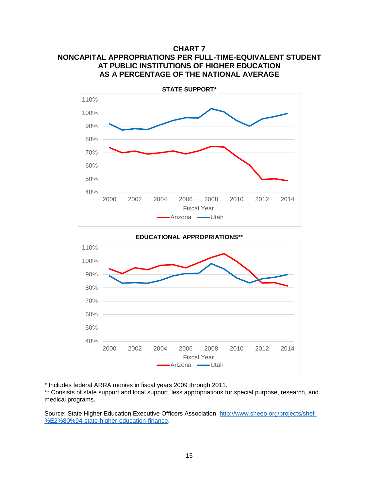





\* Includes federal ARRA monies in fiscal years 2009 through 2011.

\*\* Consists of state support and local support, less appropriations for special purpose, research, and medical programs.

Source: State Higher Education Executive Officers Association, [http://www.sheeo.org/projects/shef-](http://www.sheeo.org/projects/shef-%E2%80%94-state-higher-education-finance) [%E2%80%94-state-higher-education-finance.](http://www.sheeo.org/projects/shef-%E2%80%94-state-higher-education-finance)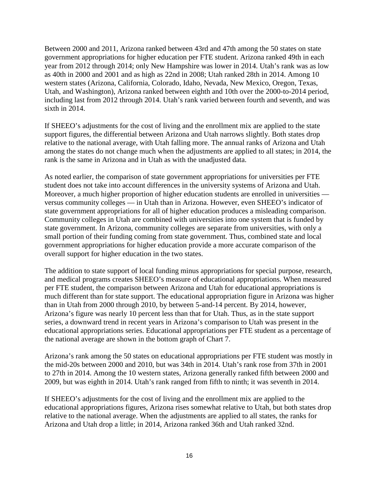Between 2000 and 2011, Arizona ranked between 43rd and 47th among the 50 states on state government appropriations for higher education per FTE student. Arizona ranked 49th in each year from 2012 through 2014; only New Hampshire was lower in 2014. Utah's rank was as low as 40th in 2000 and 2001 and as high as 22nd in 2008; Utah ranked 28th in 2014. Among 10 western states (Arizona, California, Colorado, Idaho, Nevada, New Mexico, Oregon, Texas, Utah, and Washington), Arizona ranked between eighth and 10th over the 2000-to-2014 period, including last from 2012 through 2014. Utah's rank varied between fourth and seventh, and was sixth in 2014.

If SHEEO's adjustments for the cost of living and the enrollment mix are applied to the state support figures, the differential between Arizona and Utah narrows slightly. Both states drop relative to the national average, with Utah falling more. The annual ranks of Arizona and Utah among the states do not change much when the adjustments are applied to all states; in 2014, the rank is the same in Arizona and in Utah as with the unadjusted data.

As noted earlier, the comparison of state government appropriations for universities per FTE student does not take into account differences in the university systems of Arizona and Utah. Moreover, a much higher proportion of higher education students are enrolled in universities versus community colleges — in Utah than in Arizona. However, even SHEEO's indicator of state government appropriations for all of higher education produces a misleading comparison. Community colleges in Utah are combined with universities into one system that is funded by state government. In Arizona, community colleges are separate from universities, with only a small portion of their funding coming from state government. Thus, combined state and local government appropriations for higher education provide a more accurate comparison of the overall support for higher education in the two states.

The addition to state support of local funding minus appropriations for special purpose, research, and medical programs creates SHEEO's measure of educational appropriations. When measured per FTE student, the comparison between Arizona and Utah for educational appropriations is much different than for state support. The educational appropriation figure in Arizona was higher than in Utah from 2000 through 2010, by between 5-and-14 percent. By 2014, however, Arizona's figure was nearly 10 percent less than that for Utah. Thus, as in the state support series, a downward trend in recent years in Arizona's comparison to Utah was present in the educational appropriations series. Educational appropriations per FTE student as a percentage of the national average are shown in the bottom graph of Chart 7.

Arizona's rank among the 50 states on educational appropriations per FTE student was mostly in the mid-20s between 2000 and 2010, but was 34th in 2014. Utah's rank rose from 37th in 2001 to 27th in 2014. Among the 10 western states, Arizona generally ranked fifth between 2000 and 2009, but was eighth in 2014. Utah's rank ranged from fifth to ninth; it was seventh in 2014.

If SHEEO's adjustments for the cost of living and the enrollment mix are applied to the educational appropriations figures, Arizona rises somewhat relative to Utah, but both states drop relative to the national average. When the adjustments are applied to all states, the ranks for Arizona and Utah drop a little; in 2014, Arizona ranked 36th and Utah ranked 32nd.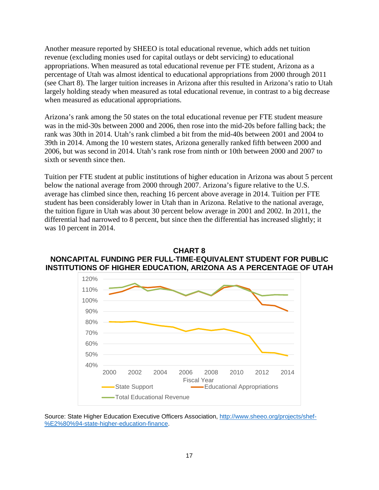Another measure reported by SHEEO is total educational revenue, which adds net tuition revenue (excluding monies used for capital outlays or debt servicing) to educational appropriations. When measured as total educational revenue per FTE student, Arizona as a percentage of Utah was almost identical to educational appropriations from 2000 through 2011 (see Chart 8). The larger tuition increases in Arizona after this resulted in Arizona's ratio to Utah largely holding steady when measured as total educational revenue, in contrast to a big decrease when measured as educational appropriations.

Arizona's rank among the 50 states on the total educational revenue per FTE student measure was in the mid-30s between 2000 and 2006, then rose into the mid-20s before falling back; the rank was 30th in 2014. Utah's rank climbed a bit from the mid-40s between 2001 and 2004 to 39th in 2014. Among the 10 western states, Arizona generally ranked fifth between 2000 and 2006, but was second in 2014. Utah's rank rose from ninth or 10th between 2000 and 2007 to sixth or seventh since then.

Tuition per FTE student at public institutions of higher education in Arizona was about 5 percent below the national average from 2000 through 2007. Arizona's figure relative to the U.S. average has climbed since then, reaching 16 percent above average in 2014. Tuition per FTE student has been considerably lower in Utah than in Arizona. Relative to the national average, the tuition figure in Utah was about 30 percent below average in 2001 and 2002. In 2011, the differential had narrowed to 8 percent, but since then the differential has increased slightly; it was 10 percent in 2014.



**CHART 8 NONCAPITAL FUNDING PER FULL-TIME-EQUIVALENT STUDENT FOR PUBLIC INSTITUTIONS OF HIGHER EDUCATION, ARIZONA AS A PERCENTAGE OF UTAH**

Source: State Higher Education Executive Officers Association, [http://www.sheeo.org/projects/shef-](http://www.sheeo.org/projects/shef-%E2%80%94-state-higher-education-finance) [%E2%80%94-state-higher-education-finance.](http://www.sheeo.org/projects/shef-%E2%80%94-state-higher-education-finance)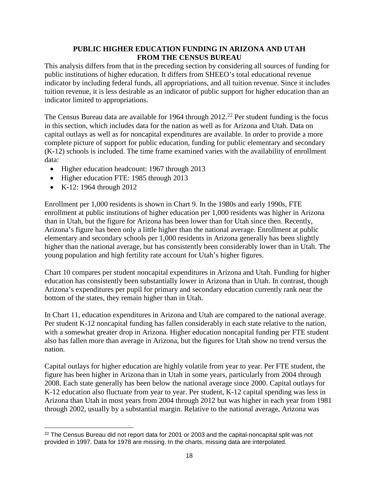#### **PUBLIC HIGHER EDUCATION FUNDING IN ARIZONA AND UTAH FROM THE CENSUS BUREAU**

This analysis differs from that in the preceding section by considering all sources of funding for public institutions of higher education. It differs from SHEEO's total educational revenue indicator by including federal funds, all appropriations, and all tuition revenue. Since it includes tuition revenue, it is less desirable as an indicator of public support for higher education than an indicator limited to appropriations.

The Census Bureau data are available for 1964 through  $2012<sup>22</sup>$  $2012<sup>22</sup>$  $2012<sup>22</sup>$  Per student funding is the focus in this section, which includes data for the nation as well as for Arizona and Utah. Data on capital outlays as well as for noncapital expenditures are available. In order to provide a more complete picture of support for public education, funding for public elementary and secondary (K-12) schools is included. The time frame examined varies with the availability of enrollment data:

- Higher education headcount: 1967 through 2013
- Higher education FTE: 1985 through 2013
- K-12: 1964 through 2012

Enrollment per 1,000 residents is shown in Chart 9. In the 1980s and early 1990s, FTE enrollment at public institutions of higher education per 1,000 residents was higher in Arizona than in Utah, but the figure for Arizona has been lower than for Utah since then. Recently, Arizona's figure has been only a little higher than the national average. Enrollment at public elementary and secondary schools per 1,000 residents in Arizona generally has been slightly higher than the national average, but has consistently been considerably lower than in Utah. The young population and high fertility rate account for Utah's higher figures.

Chart 10 compares per student noncapital expenditures in Arizona and Utah. Funding for higher education has consistently been substantially lower in Arizona than in Utah. In contrast, though Arizona's expenditures per pupil for primary and secondary education currently rank near the bottom of the states, they remain higher than in Utah.

In Chart 11, education expenditures in Arizona and Utah are compared to the national average. Per student K-12 noncapital funding has fallen considerably in each state relative to the nation, with a somewhat greater drop in Arizona. Higher education noncapital funding per FTE student also has fallen more than average in Arizona, but the figures for Utah show no trend versus the nation.

Capital outlays for higher education are highly volatile from year to year. Per FTE student, the figure has been higher in Arizona than in Utah in some years, particularly from 2004 through 2008. Each state generally has been below the national average since 2000. Capital outlays for K-12 education also fluctuate from year to year. Per student, K-12 capital spending was less in Arizona than Utah in most years from 2004 through 2012 but was higher in each year from 1981 through 2002, usually by a substantial margin. Relative to the national average, Arizona was

<span id="page-19-0"></span>l <sup>22</sup> The Census Bureau did not report data for 2001 or 2003 and the capital-noncapital split was not provided in 1997. Data for 1978 are missing. In the charts, missing data are interpolated.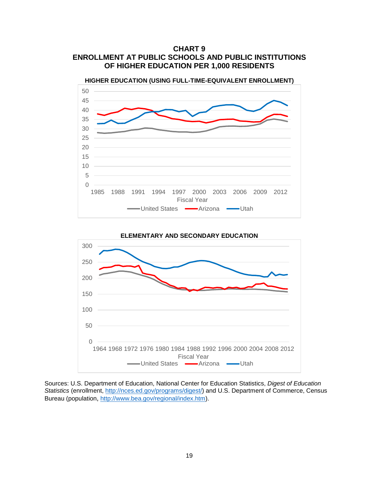**CHART 9 ENROLLMENT AT PUBLIC SCHOOLS AND PUBLIC INSTITUTIONS OF HIGHER EDUCATION PER 1,000 RESIDENTS**





Sources: U.S. Department of Education, National Center for Education Statistics, *Digest of Education*  Statistics (enrollment, [http://nces.ed.gov/programs/digest/\)](http://nces.ed.gov/programs/digest/) and U.S. Department of Commerce, Census Bureau (population, [http://www.bea.gov/regional/index.htm\)](http://www.bea.gov/regional/index.htm).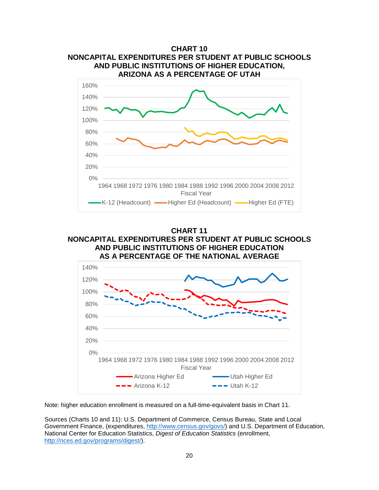





Note: higher education enrollment is measured on a full-time-equivalent basis in Chart 11.

Sources (Charts 10 and 11): U.S. Department of Commerce, Census Bureau, State and Local Government Finance, (expenditures, [http://www.census.gov/govs/\)](http://www.census.gov/govs/) and U.S. Department of Education, National Center for Education Statistics, *Digest of Education Statistics* (enrollment, [http://nces.ed.gov/programs/digest/\)](http://nces.ed.gov/programs/digest/).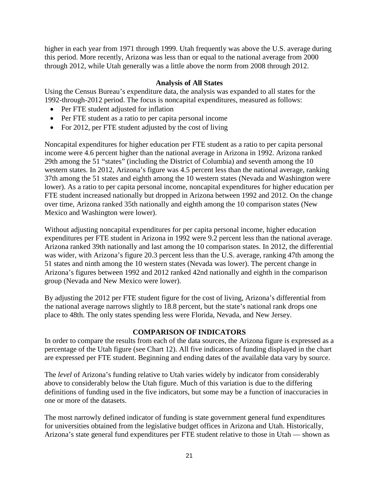higher in each year from 1971 through 1999. Utah frequently was above the U.S. average during this period. More recently, Arizona was less than or equal to the national average from 2000 through 2012, while Utah generally was a little above the norm from 2008 through 2012.

#### **Analysis of All States**

Using the Census Bureau's expenditure data, the analysis was expanded to all states for the 1992-through-2012 period. The focus is noncapital expenditures, measured as follows:

- Per FTE student adjusted for inflation
- Per FTE student as a ratio to per capita personal income
- For 2012, per FTE student adjusted by the cost of living

Noncapital expenditures for higher education per FTE student as a ratio to per capita personal income were 4.6 percent higher than the national average in Arizona in 1992. Arizona ranked 29th among the 51 "states" (including the District of Columbia) and seventh among the 10 western states. In 2012, Arizona's figure was 4.5 percent less than the national average, ranking 37th among the 51 states and eighth among the 10 western states (Nevada and Washington were lower). As a ratio to per capita personal income, noncapital expenditures for higher education per FTE student increased nationally but dropped in Arizona between 1992 and 2012. On the change over time, Arizona ranked 35th nationally and eighth among the 10 comparison states (New Mexico and Washington were lower).

Without adjusting noncapital expenditures for per capita personal income, higher education expenditures per FTE student in Arizona in 1992 were 9.2 percent less than the national average. Arizona ranked 39th nationally and last among the 10 comparison states. In 2012, the differential was wider, with Arizona's figure 20.3 percent less than the U.S. average, ranking 47th among the 51 states and ninth among the 10 western states (Nevada was lower). The percent change in Arizona's figures between 1992 and 2012 ranked 42nd nationally and eighth in the comparison group (Nevada and New Mexico were lower).

By adjusting the 2012 per FTE student figure for the cost of living, Arizona's differential from the national average narrows slightly to 18.8 percent, but the state's national rank drops one place to 48th. The only states spending less were Florida, Nevada, and New Jersey.

#### **COMPARISON OF INDICATORS**

In order to compare the results from each of the data sources, the Arizona figure is expressed as a percentage of the Utah figure (see Chart 12). All five indicators of funding displayed in the chart are expressed per FTE student. Beginning and ending dates of the available data vary by source.

The *level* of Arizona's funding relative to Utah varies widely by indicator from considerably above to considerably below the Utah figure. Much of this variation is due to the differing definitions of funding used in the five indicators, but some may be a function of inaccuracies in one or more of the datasets.

The most narrowly defined indicator of funding is state government general fund expenditures for universities obtained from the legislative budget offices in Arizona and Utah. Historically, Arizona's state general fund expenditures per FTE student relative to those in Utah — shown as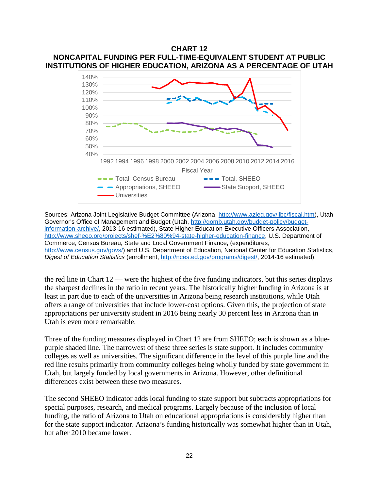#### **CHART 12 NONCAPITAL FUNDING PER FULL-TIME-EQUIVALENT STUDENT AT PUBLIC INSTITUTIONS OF HIGHER EDUCATION, ARIZONA AS A PERCENTAGE OF UTAH**



Sources: Arizona Joint Legislative Budget Committee (Arizona, [http://www.azleg.gov/jlbc/fiscal.htm\)](http://www.azleg.gov/jlbc/fiscal.htm), Utah Governor's Office of Management and Budget (Utah, [http://gomb.utah.gov/budget-policy/budget](http://gomb.utah.gov/budget-policy/budget-information-archive/)[information-archive/,](http://gomb.utah.gov/budget-policy/budget-information-archive/) 2013-16 estimated), State Higher Education Executive Officers Association, [http://www.sheeo.org/projects/shef-%E2%80%94-state-higher-education-finance,](http://www.sheeo.org/projects/shef-%E2%80%94-state-higher-education-finance) U.S. Department of Commerce, Census Bureau, State and Local Government Finance, (expenditures, [http://www.census.gov/govs/\)](http://www.census.gov/govs/) and U.S. Department of Education, National Center for Education Statistics, *Digest of Education Statistics* (enrollment, [http://nces.ed.gov/programs/digest/,](http://nces.ed.gov/programs/digest/) 2014-16 estimated).

the red line in Chart  $12$  — were the highest of the five funding indicators, but this series displays the sharpest declines in the ratio in recent years. The historically higher funding in Arizona is at least in part due to each of the universities in Arizona being research institutions, while Utah offers a range of universities that include lower-cost options. Given this, the projection of state appropriations per university student in 2016 being nearly 30 percent less in Arizona than in Utah is even more remarkable.

Three of the funding measures displayed in Chart 12 are from SHEEO; each is shown as a bluepurple shaded line. The narrowest of these three series is state support. It includes community colleges as well as universities. The significant difference in the level of this purple line and the red line results primarily from community colleges being wholly funded by state government in Utah, but largely funded by local governments in Arizona. However, other definitional differences exist between these two measures.

The second SHEEO indicator adds local funding to state support but subtracts appropriations for special purposes, research, and medical programs. Largely because of the inclusion of local funding, the ratio of Arizona to Utah on educational appropriations is considerably higher than for the state support indicator. Arizona's funding historically was somewhat higher than in Utah, but after 2010 became lower.